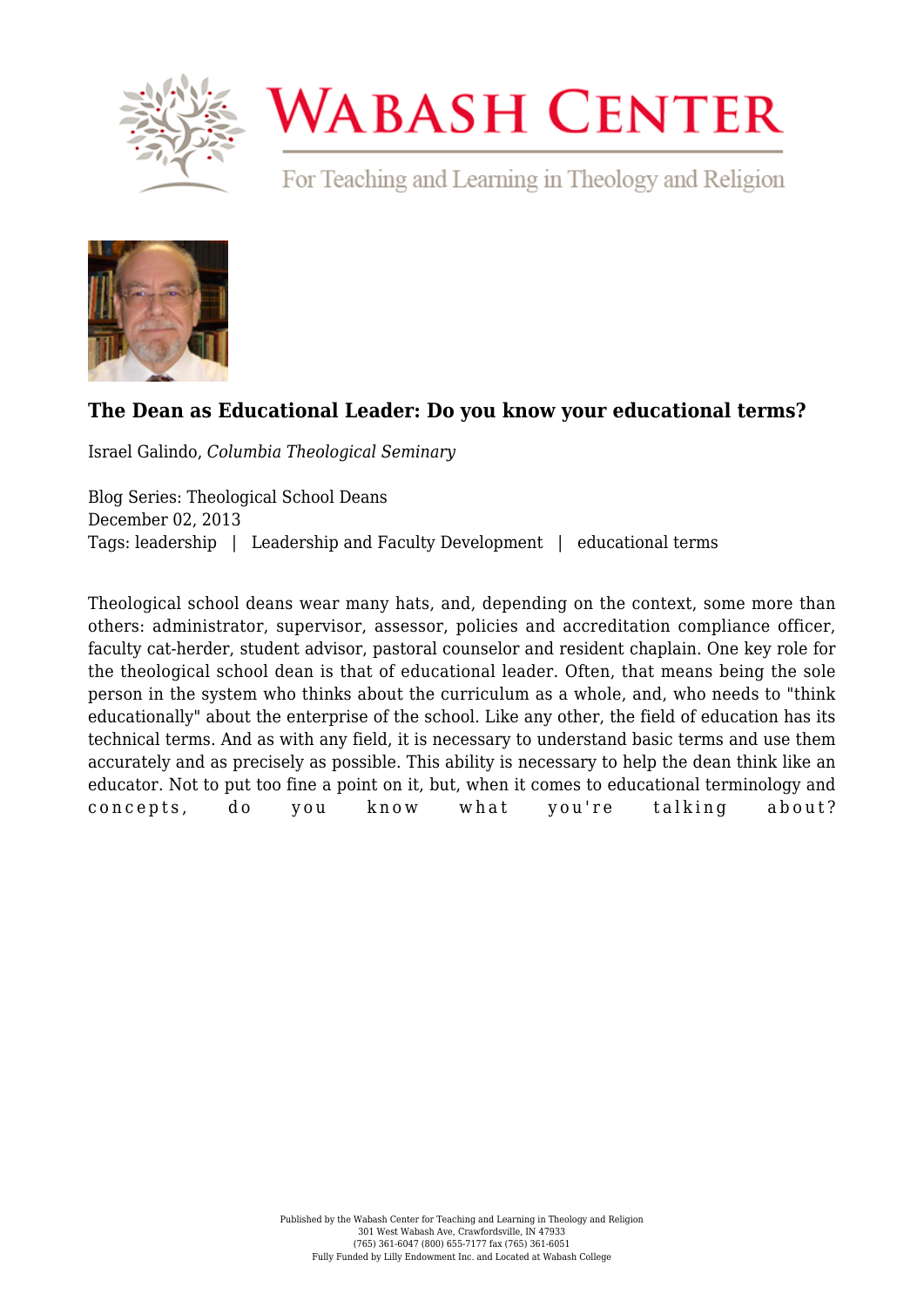

## **WABASH CENTER**

For Teaching and Learning in Theology and Religion



## **[The Dean as Educational Leader: Do you know your educational terms?](https://www.wabashcenter.wabash.edu/2013/12/the-dean-as-educational-leader-do-you-know-your-educational-terms/)**

Israel Galindo, *Columbia Theological Seminary*

Blog Series: Theological School Deans December 02, 2013 Tags: leadership | Leadership and Faculty Development | educational terms

Theological school deans wear many hats, and, depending on the context, some more than others: administrator, supervisor, assessor, policies and accreditation compliance officer, faculty cat-herder, student advisor, pastoral counselor and resident chaplain. One key role for the theological school dean is that of educational leader. Often, that means being the sole person in the system who thinks about the curriculum as a whole, and, who needs to "think educationally" about the enterprise of the school. Like any other, the field of education has its technical terms. And as with any field, it is necessary to understand basic terms and use them accurately and as precisely as possible. This ability is necessary to help the dean think like an educator. Not to put too fine a point on it, but, when it comes to educational terminology and concepts, do you know what you're talking about?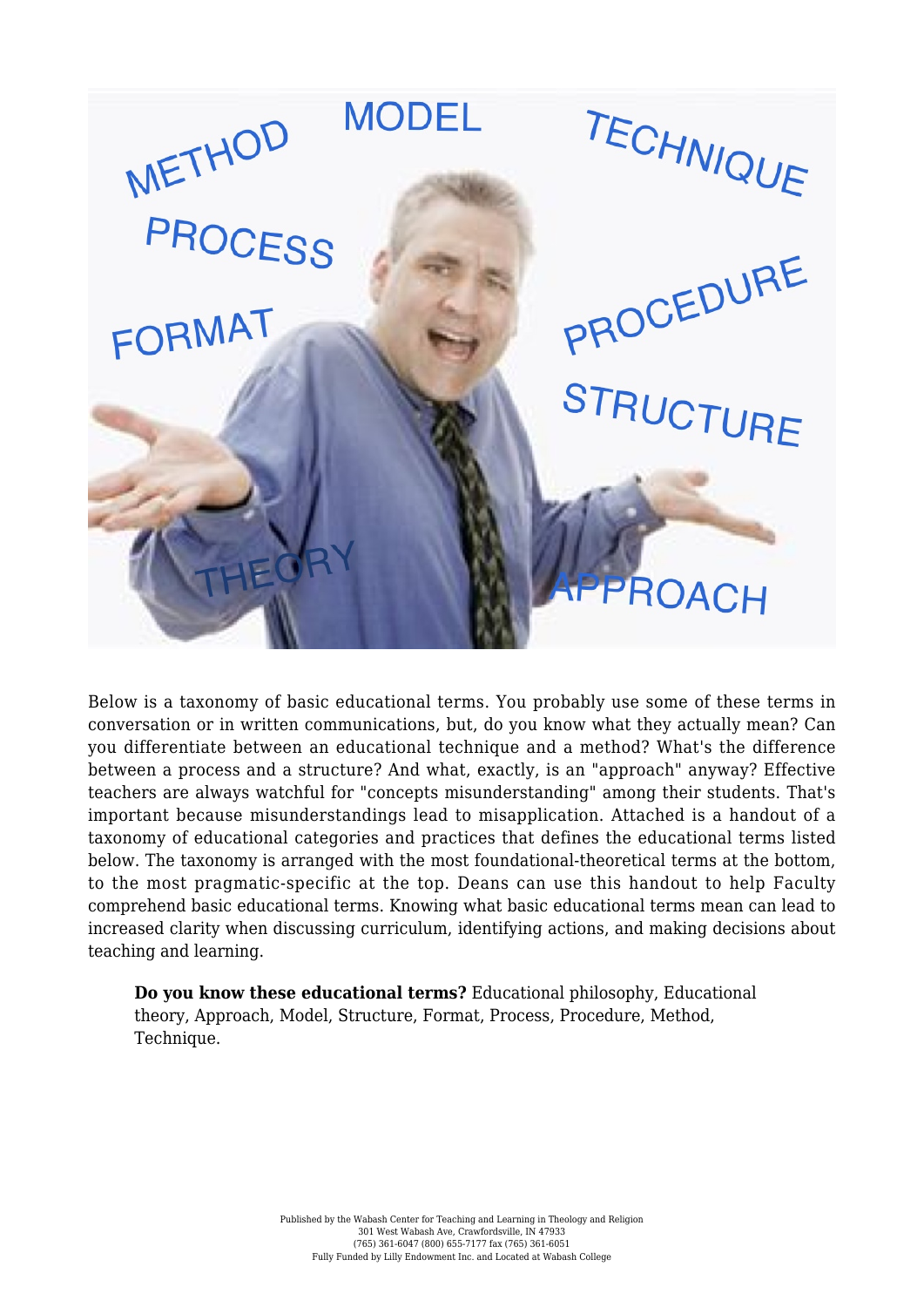

Below is a taxonomy of basic educational terms. You probably use some of these terms in conversation or in written communications, but, do you know what they actually mean? Can you differentiate between an educational technique and a method? What's the difference between a process and a structure? And what, exactly, is an "approach" anyway? Effective teachers are always watchful for "concepts misunderstanding" among their students. That's important because misunderstandings lead to misapplication. Attached is a handout of a taxonomy of educational categories and practices that defines the educational terms listed below. The taxonomy is arranged with the most foundational-theoretical terms at the bottom, to the most pragmatic-specific at the top. Deans can use this handout to help Faculty comprehend basic educational terms. Knowing what basic educational terms mean can lead to increased clarity when discussing curriculum, identifying actions, and making decisions about teaching and learning.

**Do you know these educational terms?** Educational philosophy, Educational theory, Approach, Model, Structure, Format, Process, Procedure, Method, Technique.